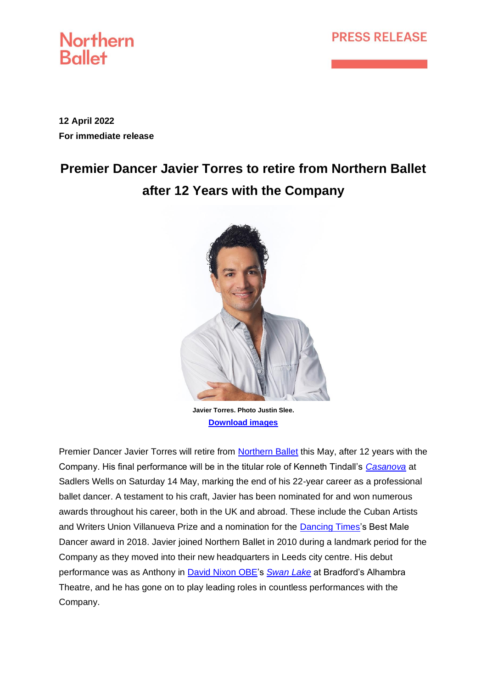## **PRESS RELEASE**



**12 April 2022 For immediate release**

# **Premier Dancer Javier Torres to retire from Northern Ballet after 12 Years with the Company**



**Javier Torres. Photo Justin Slee. [Download images](https://www.dropbox.com/sh/vu2cvaygwapvf0h/AABVweONk1I7UOa-Fp9Q4aE3a?dl=0)**

Premier Dancer Javier Torres will retire from [Northern Ballet](https://northernballet.com/) this May, after 12 years with the Company. His final performance will be in the titular role of Kenneth Tindall's *[Casanova](https://northernballet.com/casanova)* at Sadlers Wells on Saturday 14 May, marking the end of his 22-year career as a professional ballet dancer. A testament to his craft, Javier has been nominated for and won numerous awards throughout his career, both in the UK and abroad. These include the Cuban Artists and Writers Union Villanueva Prize and a nomination for the [Dancing Times'](https://www.dancing-times.co.uk/)s Best Male Dancer award in 2018. Javier joined Northern Ballet in 2010 during a landmark period for the Company as they moved into their new headquarters in Leeds city centre. His debut performance was as Anthony in [David Nixon OBE'](https://northernballet.com/biography/-david-nixon-obe)s *[Swan Lake](https://northernballet.com/swan-lake)* at Bradford's Alhambra Theatre, and he has gone on to play leading roles in countless performances with the Company.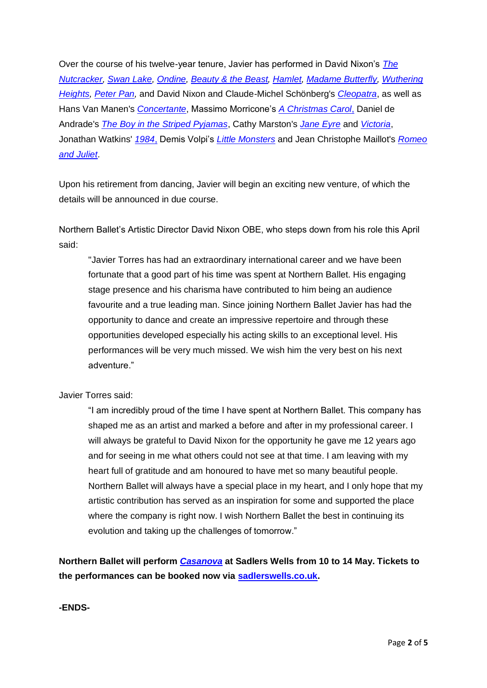Over the course of his twelve-year tenure, Javier has performed in David Nixon's *[The](https://northernballet.com/the-nutcracker)  [Nutcracker,](https://northernballet.com/the-nutcracker) [Swan Lake,](https://northernballet.com/swan-lake) [Ondine,](https://northernballet.com/our-repertoire) [Beauty & the Beast,](https://northernballet.com/beauty-and-the-beast) [Hamlet,](https://northernballet.com/our-repertoire) [Madame Butterfly,](https://northernballet.com/madame-butterfly) [Wuthering](https://northernballet.com/wuthering-heights)  [Heights,](https://northernballet.com/wuthering-heights) [Peter Pan,](https://northernballet.com/peter-pan)* and David Nixon and Claude-Michel Schönberg's *[Cleopatra](https://northernballet.com/cleopatra)*, as well as Hans Van Manen's *[Concertante](https://northernballet.com/our-repertoire)*, Massimo Morricone's *[A Christmas Carol](https://northernballet.com/a-christmas-carol)*, Daniel de Andrade's *[The Boy in the Striped Pyjamas](https://northernballet.com/the-boy-in-the-striped-pyjamas)*, Cathy Marston's *[Jane Eyre](https://northernballet.com/jane-eyre)* and *[Victoria](https://northernballet.com/victoria)*, Jonathan Watkins' *[1984](https://northernballet.com/1984)*, Demis Volpi's *[Little Monsters](https://northernballet.com/our-repertoire)* and Jean Christophe Maillot's *[Romeo](https://northernballet.com/our-repertoire)  [and Juliet](https://northernballet.com/our-repertoire)*.

Upon his retirement from dancing, Javier will begin an exciting new venture, of which the details will be announced in due course.

Northern Ballet's Artistic Director David Nixon OBE, who steps down from his role this April said:

"Javier Torres has had an extraordinary international career and we have been fortunate that a good part of his time was spent at Northern Ballet. His engaging stage presence and his charisma have contributed to him being an audience favourite and a true leading man. Since joining Northern Ballet Javier has had the opportunity to dance and create an impressive repertoire and through these opportunities developed especially his acting skills to an exceptional level. His performances will be very much missed. We wish him the very best on his next adventure."

Javier Torres said:

"I am incredibly proud of the time I have spent at Northern Ballet. This company has shaped me as an artist and marked a before and after in my professional career. I will always be grateful to David Nixon for the opportunity he gave me 12 years ago and for seeing in me what others could not see at that time. I am leaving with my heart full of gratitude and am honoured to have met so many beautiful people. Northern Ballet will always have a special place in my heart, and I only hope that my artistic contribution has served as an inspiration for some and supported the place where the company is right now. I wish Northern Ballet the best in continuing its evolution and taking up the challenges of tomorrow."

**Northern Ballet will perform** *[Casanova](https://northernballet.com/casanova)* **at Sadlers Wells from 10 to 14 May. Tickets to the performances can be booked now via [sadlerswells.co.uk.](https://www.sadlerswells.com/whats-on/northern-ballet-casanova/)**

**-ENDS-**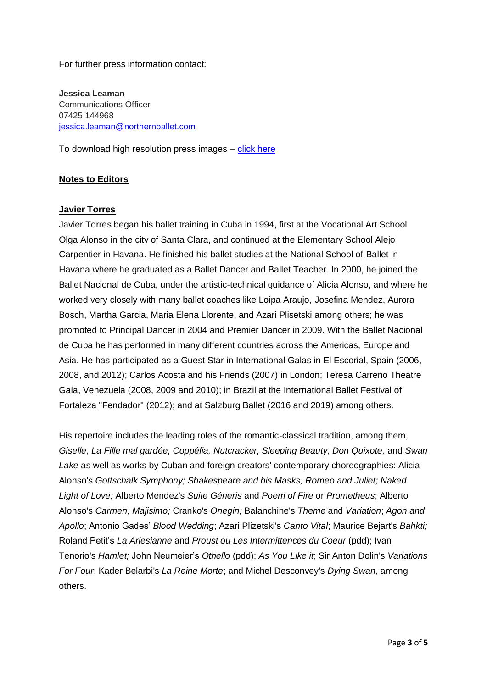For further press information contact:

**Jessica Leaman** Communications Officer 07425 144968 [jessica.leaman@northernballet.com](mailto:jessica.leaman@northernballet.com)

To download high resolution press images – [click here](https://www.dropbox.com/sh/vu2cvaygwapvf0h/AABVweONk1I7UOa-Fp9Q4aE3a?dl=0)

#### **Notes to Editors**

#### **Javier Torres**

Javier Torres began his ballet training in Cuba in 1994, first at the Vocational Art School Olga Alonso in the city of Santa Clara, and continued at the Elementary School Alejo Carpentier in Havana. He finished his ballet studies at the National School of Ballet in Havana where he graduated as a Ballet Dancer and Ballet Teacher. In 2000, he joined the Ballet Nacional de Cuba, under the artistic-technical guidance of Alicia Alonso, and where he worked very closely with many ballet coaches like Loipa Araujo, Josefina Mendez, Aurora Bosch, Martha Garcia, Maria Elena Llorente, and Azari Plisetski among others; he was promoted to Principal Dancer in 2004 and Premier Dancer in 2009. With the Ballet Nacional de Cuba he has performed in many different countries across the Americas, Europe and Asia. He has participated as a Guest Star in International Galas in El Escorial, Spain (2006, 2008, and 2012); Carlos Acosta and his Friends (2007) in London; Teresa Carreño Theatre Gala, Venezuela (2008, 2009 and 2010); in Brazil at the International Ballet Festival of Fortaleza "Fendador" (2012); and at Salzburg Ballet (2016 and 2019) among others.

His repertoire includes the leading roles of the romantic-classical tradition, among them, *Giselle, La Fille mal gardée, Coppélia, Nutcracker, Sleeping Beauty, Don Quixote,* and *Swan Lake* as well as works by Cuban and foreign creators' contemporary choreographies: Alicia Alonso's *Gottschalk Symphony; Shakespeare and his Masks; Romeo and Juliet; Naked Light of Love;* Alberto Mendez's *Suite Géneris* and *Poem of Fire* or *Prometheus*; Alberto Alonso's *Carmen; Majisimo;* Cranko's *Onegin;* Balanchine's *Theme* and *Variation*; *Agon and Apollo*; Antonio Gades' *Blood Wedding*; Azari Plizetski's *Canto Vital*; Maurice Bejart's *Bahkti;* Roland Petit's *La Arlesianne* and *Proust ou Les Intermittences du Coeur* (pdd); Ivan Tenorio's *Hamlet;* John Neumeier's *Othello* (pdd); *As You Like it*; Sir Anton Dolin's *Variations For Four*; Kader Belarbi's *La Reine Morte*; and Michel Desconvey's *Dying Swan,* among others.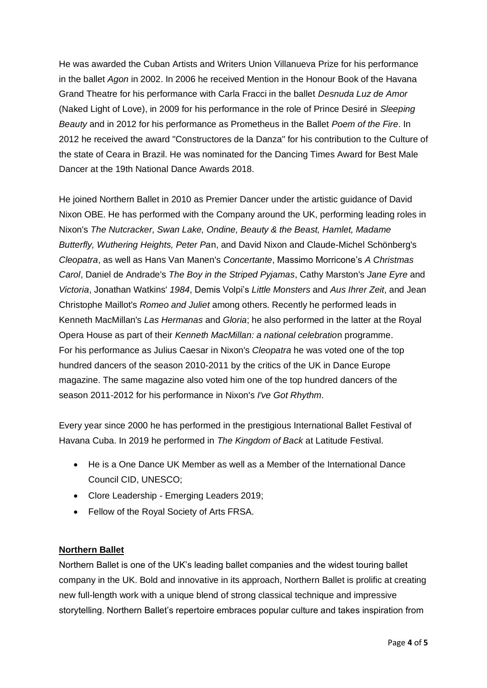He was awarded the Cuban Artists and Writers Union Villanueva Prize for his performance in the ballet *Agon* in 2002. In 2006 he received Mention in the Honour Book of the Havana Grand Theatre for his performance with Carla Fracci in the ballet *Desnuda Luz de Amor*  (Naked Light of Love), in 2009 for his performance in the role of Prince Desiré in *Sleeping Beauty* and in 2012 for his performance as Prometheus in the Ballet *Poem of the Fire*. In 2012 he received the award "Constructores de la Danza" for his contribution to the Culture of the state of Ceara in Brazil. He was nominated for the Dancing Times Award for Best Male Dancer at the 19th National Dance Awards 2018.

He joined Northern Ballet in 2010 as Premier Dancer under the artistic guidance of David Nixon OBE. He has performed with the Company around the UK, performing leading roles in Nixon's *The Nutcracker, Swan Lake, Ondine, Beauty & the Beast, Hamlet, Madame Butterfly, Wuthering Heights, Peter Pa*n, and David Nixon and Claude-Michel Schönberg's *Cleopatra*, as well as Hans Van Manen's *Concertante*, Massimo Morricone's *A Christmas Carol*, Daniel de Andrade's *The Boy in the Striped Pyjamas*, Cathy Marston's *Jane Eyre* and *Victoria*, Jonathan Watkins' *1984*, Demis Volpi's *Little Monsters* and *Aus Ihrer Zeit*, and Jean Christophe Maillot's *Romeo and Juliet* among others. Recently he performed leads in Kenneth MacMillan's *Las Hermanas* and *Gloria*; he also performed in the latter at the Royal Opera House as part of their *Kenneth MacMillan: a national celebratio*n programme. For his performance as Julius Caesar in Nixon's *Cleopatra* he was voted one of the top hundred dancers of the season 2010-2011 by the critics of the UK in Dance Europe magazine. The same magazine also voted him one of the top hundred dancers of the season 2011-2012 for his performance in Nixon's *I've Got Rhythm*.

Every year since 2000 he has performed in the prestigious International Ballet Festival of Havana Cuba. In 2019 he performed in *The Kingdom of Back* at Latitude Festival.

- He is a One Dance UK Member as well as a Member of the International Dance Council CID, UNESCO;
- Clore Leadership Emerging Leaders 2019;
- Fellow of the Royal Society of Arts FRSA.

### **Northern Ballet**

Northern Ballet is one of the UK's leading ballet companies and the widest touring ballet company in the UK. Bold and innovative in its approach, Northern Ballet is prolific at creating new full-length work with a unique blend of strong classical technique and impressive storytelling. Northern Ballet's repertoire embraces popular culture and takes inspiration from